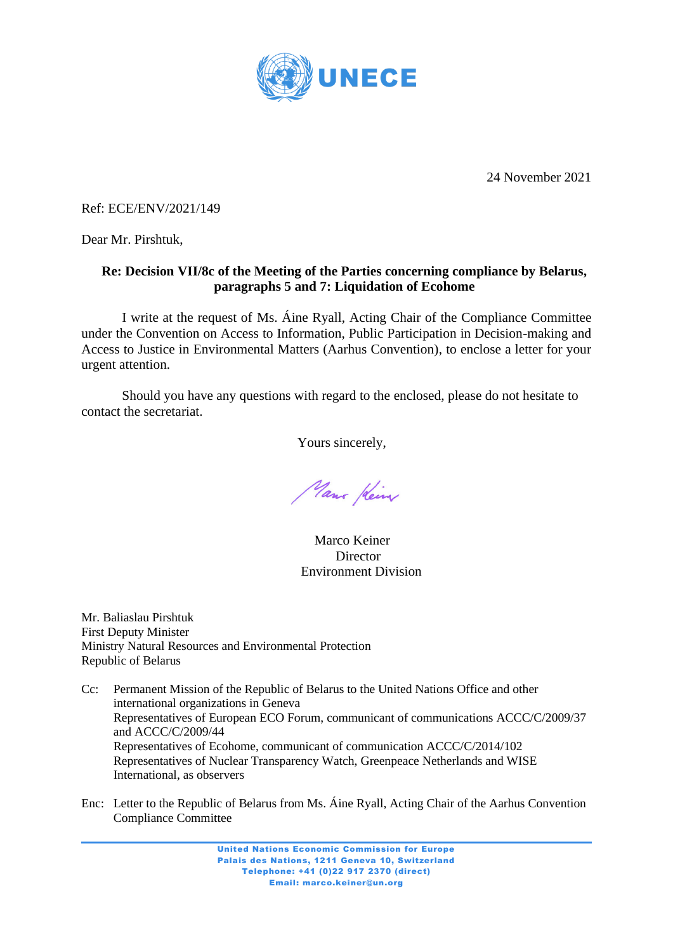

24 November 2021

Ref: ECE/ENV/2021/149

Dear Mr. Pirshtuk,

# **Re: Decision VII/8c of the Meeting of the Parties concerning compliance by Belarus, paragraphs 5 and 7: Liquidation of Ecohome**

I write at the request of Ms. Áine Ryall, Acting Chair of the Compliance Committee under the Convention on Access to Information, Public Participation in Decision-making and Access to Justice in Environmental Matters (Aarhus Convention), to enclose a letter for your urgent attention.

Should you have any questions with regard to the enclosed, please do not hesitate to contact the secretariat.

Yours sincerely,

Mans Kein

 Marco Keiner **Director** Environment Division

Mr. Baliaslau Pirshtuk First Deputy Minister Ministry Natural Resources and Environmental Protection Republic of Belarus

Cc: Permanent Mission of the Republic of Belarus to the United Nations Office and other international organizations in Geneva Representatives of European ECO Forum, communicant of communications ACCC/C/2009/37 and ACCC/C/2009/44 Representatives of Ecohome, communicant of communication ACCC/C/2014/102 Representatives of Nuclear Transparency Watch, Greenpeace Netherlands and WISE International, as observers

Enc: Letter to the Republic of Belarus from Ms. Áine Ryall, Acting Chair of the Aarhus Convention Compliance Committee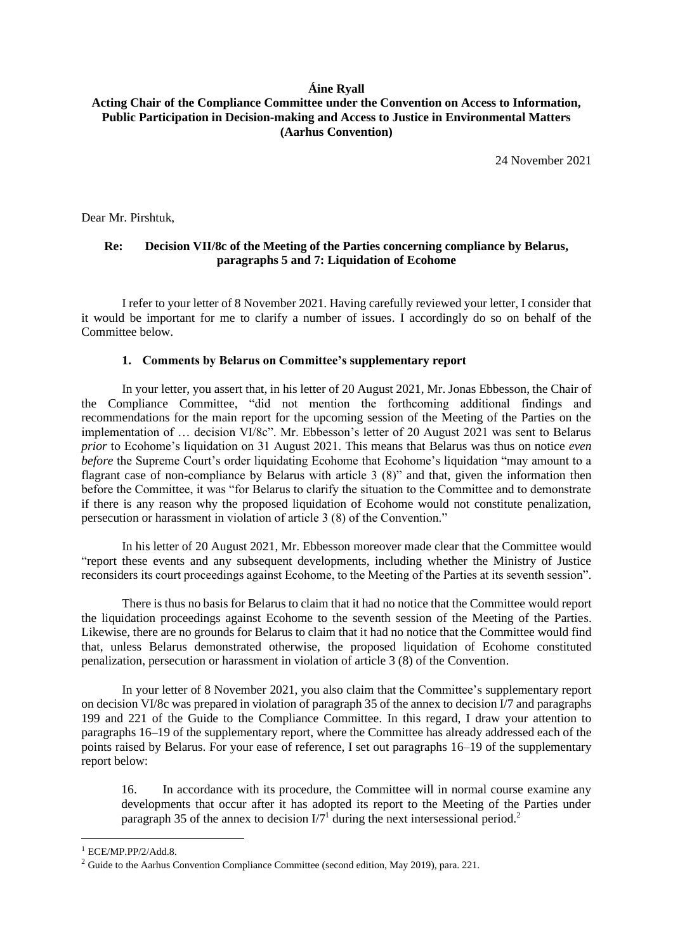### **Áine Ryall**

## **Acting Chair of the Compliance Committee under the Convention on Access to Information, Public Participation in Decision-making and Access to Justice in Environmental Matters (Aarhus Convention)**

24 November 2021

Dear Mr. Pirshtuk,

## **Re: Decision VII/8c of the Meeting of the Parties concerning compliance by Belarus, paragraphs 5 and 7: Liquidation of Ecohome**

I refer to your letter of 8 November 2021. Having carefully reviewed your letter, I consider that it would be important for me to clarify a number of issues. I accordingly do so on behalf of the Committee below.

#### **1. Comments by Belarus on Committee's supplementary report**

In your letter, you assert that, in his letter of 20 August 2021, Mr. Jonas Ebbesson, the Chair of the Compliance Committee, "did not mention the forthcoming additional findings and recommendations for the main report for the upcoming session of the Meeting of the Parties on the implementation of … decision VI/8c". Mr. Ebbesson's letter of 20 August 2021 was sent to Belarus *prior* to Ecohome's liquidation on 31 August 2021. This means that Belarus was thus on notice *even before* the Supreme Court's order liquidating Ecohome that Ecohome's liquidation "may amount to a flagrant case of non-compliance by Belarus with article 3 (8)" and that, given the information then before the Committee, it was "for Belarus to clarify the situation to the Committee and to demonstrate if there is any reason why the proposed liquidation of Ecohome would not constitute penalization, persecution or harassment in violation of article 3 (8) of the Convention."

In his letter of 20 August 2021, Mr. Ebbesson moreover made clear that the Committee would "report these events and any subsequent developments, including whether the Ministry of Justice reconsiders its court proceedings against Ecohome, to the Meeting of the Parties at its seventh session".

There is thus no basis for Belarus to claim that it had no notice that the Committee would report the liquidation proceedings against Ecohome to the seventh session of the Meeting of the Parties. Likewise, there are no grounds for Belarus to claim that it had no notice that the Committee would find that, unless Belarus demonstrated otherwise, the proposed liquidation of Ecohome constituted penalization, persecution or harassment in violation of article 3 (8) of the Convention.

In your letter of 8 November 2021, you also claim that the Committee's supplementary report on decision VI/8c was prepared in violation of paragraph 35 of the annex to decision I/7 and paragraphs 199 and 221 of the Guide to the Compliance Committee. In this regard, I draw your attention to paragraphs 16–19 of the supplementary report, where the Committee has already addressed each of the points raised by Belarus. For your ease of reference, I set out paragraphs 16–19 of the supplementary report below:

16. In accordance with its procedure, the Committee will in normal course examine any developments that occur after it has adopted its report to the Meeting of the Parties under paragraph 35 of the annex to decision  $I/T<sup>1</sup>$  during the next intersessional period.<sup>2</sup>

 $1$  ECE/MP.PP/2/Add.8.

<sup>&</sup>lt;sup>2</sup> Guide to the Aarhus Convention Compliance Committee (second edition, May 2019), para. 221.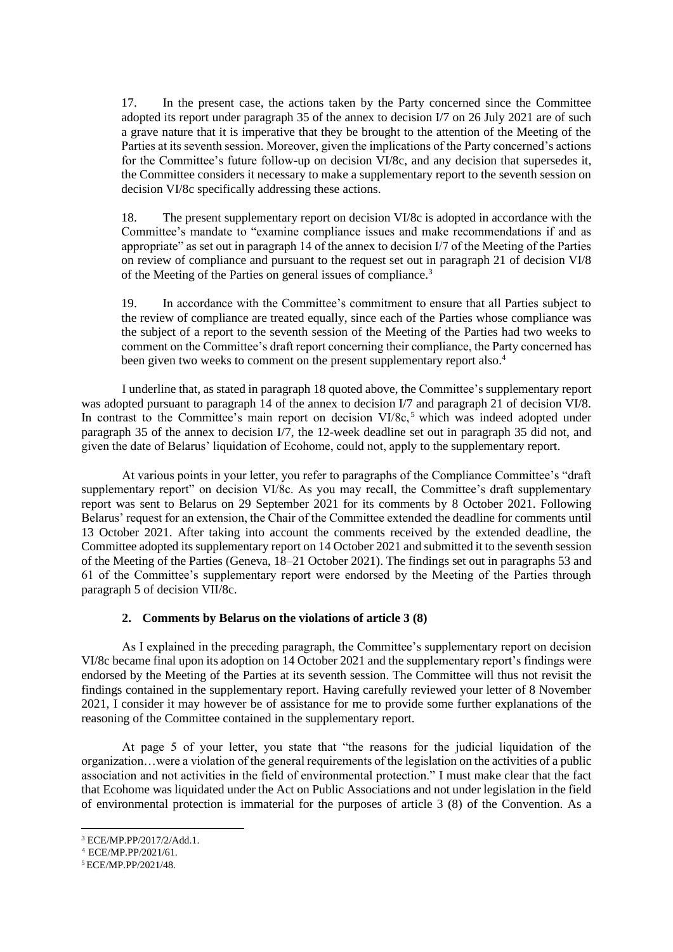17. In the present case, the actions taken by the Party concerned since the Committee adopted its report under paragraph 35 of the annex to decision I/7 on 26 July 2021 are of such a grave nature that it is imperative that they be brought to the attention of the Meeting of the Parties at its seventh session. Moreover, given the implications of the Party concerned's actions for the Committee's future follow-up on decision VI/8c, and any decision that supersedes it, the Committee considers it necessary to make a supplementary report to the seventh session on decision VI/8c specifically addressing these actions.

18. The present supplementary report on decision VI/8c is adopted in accordance with the Committee's mandate to "examine compliance issues and make recommendations if and as appropriate" as set out in paragraph 14 of the annex to decision I/7 of the Meeting of the Parties on review of compliance and pursuant to the request set out in paragraph 21 of decision VI/8 of the Meeting of the Parties on general issues of compliance.<sup>3</sup>

19. In accordance with the Committee's commitment to ensure that all Parties subject to the review of compliance are treated equally, since each of the Parties whose compliance was the subject of a report to the seventh session of the Meeting of the Parties had two weeks to comment on the Committee's draft report concerning their compliance, the Party concerned has been given two weeks to comment on the present supplementary report also.<sup>4</sup>

I underline that, as stated in paragraph 18 quoted above, the Committee's supplementary report was adopted pursuant to paragraph 14 of the annex to decision I/7 and paragraph 21 of decision VI/8. In contrast to the Committee's main report on decision  $VI/8c$ ,<sup>5</sup> which was indeed adopted under paragraph 35 of the annex to decision I/7, the 12-week deadline set out in paragraph 35 did not, and given the date of Belarus' liquidation of Ecohome, could not, apply to the supplementary report.

At various points in your letter, you refer to paragraphs of the Compliance Committee's "draft supplementary report" on decision VI/8c. As you may recall, the Committee's draft supplementary report was sent to Belarus on 29 September 2021 for its comments by 8 October 2021. Following Belarus' request for an extension, the Chair of the Committee extended the deadline for comments until 13 October 2021. After taking into account the comments received by the extended deadline, the Committee adopted its supplementary report on 14 October 2021 and submitted it to the seventh session of the Meeting of the Parties (Geneva, 18–21 October 2021). The findings set out in paragraphs 53 and 61 of the Committee's supplementary report were endorsed by the Meeting of the Parties through paragraph 5 of decision VII/8c.

### **2. Comments by Belarus on the violations of article 3 (8)**

As I explained in the preceding paragraph, the Committee's supplementary report on decision VI/8c became final upon its adoption on 14 October 2021 and the supplementary report's findings were endorsed by the Meeting of the Parties at its seventh session. The Committee will thus not revisit the findings contained in the supplementary report. Having carefully reviewed your letter of 8 November 2021, I consider it may however be of assistance for me to provide some further explanations of the reasoning of the Committee contained in the supplementary report.

At page 5 of your letter, you state that "the reasons for the judicial liquidation of the organization…were a violation of the general requirements of the legislation on the activities of a public association and not activities in the field of environmental protection." I must make clear that the fact that Ecohome was liquidated under the Act on Public Associations and not under legislation in the field of environmental protection is immaterial for the purposes of article 3 (8) of the Convention. As a

<sup>3</sup> ECE/MP.PP/2017/2/Add.1.

<sup>4</sup> ECE/MP.PP/2021/61.

<sup>5</sup> ECE/MP.PP/2021/48.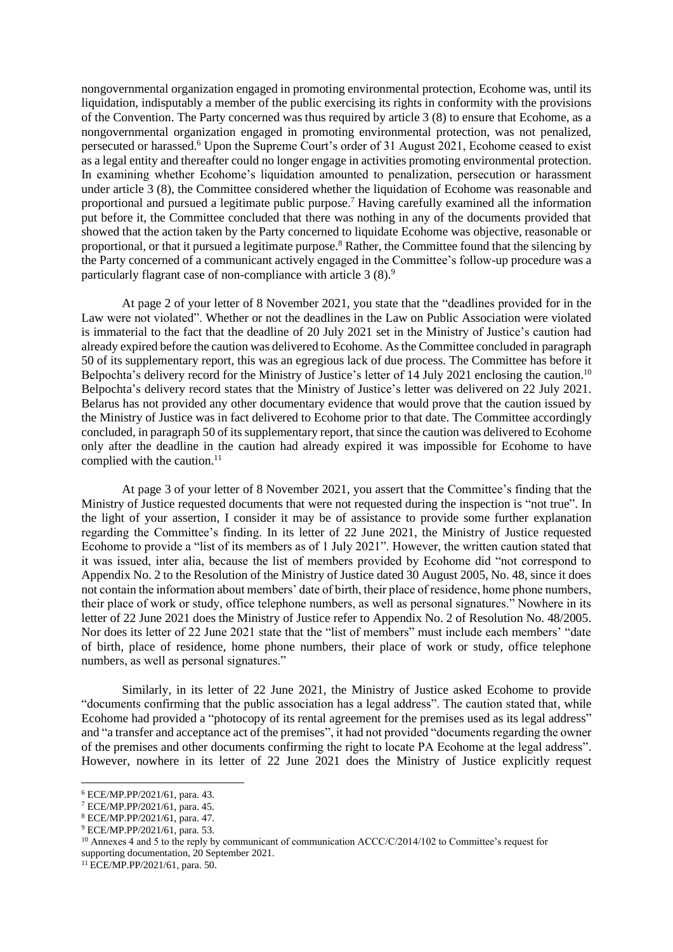nongovernmental organization engaged in promoting environmental protection, Ecohome was, until its liquidation, indisputably a member of the public exercising its rights in conformity with the provisions of the Convention. The Party concerned was thus required by article 3 (8) to ensure that Ecohome, as a nongovernmental organization engaged in promoting environmental protection, was not penalized, persecuted or harassed.<sup>6</sup> Upon the Supreme Court's order of 31 August 2021, Ecohome ceased to exist as a legal entity and thereafter could no longer engage in activities promoting environmental protection. In examining whether Ecohome's liquidation amounted to penalization, persecution or harassment under article 3 (8), the Committee considered whether the liquidation of Ecohome was reasonable and proportional and pursued a legitimate public purpose.<sup>7</sup> Having carefully examined all the information put before it, the Committee concluded that there was nothing in any of the documents provided that showed that the action taken by the Party concerned to liquidate Ecohome was objective, reasonable or proportional, or that it pursued a legitimate purpose.<sup>8</sup> Rather, the Committee found that the silencing by the Party concerned of a communicant actively engaged in the Committee's follow-up procedure was a particularly flagrant case of non-compliance with article 3 (8).<sup>9</sup>

At page 2 of your letter of 8 November 2021, you state that the "deadlines provided for in the Law were not violated". Whether or not the deadlines in the Law on Public Association were violated is immaterial to the fact that the deadline of 20 July 2021 set in the Ministry of Justice's caution had already expired before the caution was delivered to Ecohome. As the Committee concluded in paragraph 50 of its supplementary report, this was an egregious lack of due process. The Committee has before it Belpochta's delivery record for the Ministry of Justice's letter of 14 July 2021 enclosing the caution.<sup>10</sup> Belpochta's delivery record states that the Ministry of Justice's letter was delivered on 22 July 2021. Belarus has not provided any other documentary evidence that would prove that the caution issued by the Ministry of Justice was in fact delivered to Ecohome prior to that date. The Committee accordingly concluded, in paragraph 50 of its supplementary report, that since the caution was delivered to Ecohome only after the deadline in the caution had already expired it was impossible for Ecohome to have complied with the caution. 11

At page 3 of your letter of 8 November 2021, you assert that the Committee's finding that the Ministry of Justice requested documents that were not requested during the inspection is "not true". In the light of your assertion, I consider it may be of assistance to provide some further explanation regarding the Committee's finding. In its letter of 22 June 2021, the Ministry of Justice requested Ecohome to provide a "list of its members as of 1 July 2021". However, the written caution stated that it was issued, inter alia, because the list of members provided by Ecohome did "not correspond to Appendix No. 2 to the Resolution of the Ministry of Justice dated 30 August 2005, No. 48, since it does not contain the information about members' date of birth, their place of residence, home phone numbers, their place of work or study, office telephone numbers, as well as personal signatures." Nowhere in its letter of 22 June 2021 does the Ministry of Justice refer to Appendix No. 2 of Resolution No. 48/2005. Nor does its letter of 22 June 2021 state that the "list of members" must include each members' "date of birth, place of residence, home phone numbers, their place of work or study, office telephone numbers, as well as personal signatures."

Similarly, in its letter of 22 June 2021, the Ministry of Justice asked Ecohome to provide "documents confirming that the public association has a legal address". The caution stated that, while Ecohome had provided a "photocopy of its rental agreement for the premises used as its legal address" and "a transfer and acceptance act of the premises", it had not provided "documents regarding the owner of the premises and other documents confirming the right to locate PA Ecohome at the legal address". However, nowhere in its letter of 22 June 2021 does the Ministry of Justice explicitly request

<sup>6</sup> ECE/MP.PP/2021/61, para. 43.

<sup>7</sup> ECE/MP.PP/2021/61, para. 45.

<sup>8</sup> ECE/MP.PP/2021/61, para. 47.

<sup>9</sup> ECE/MP.PP/2021/61, para. 53.

<sup>&</sup>lt;sup>10</sup> Annexes 4 and 5 to the reply by communicant of communication ACCC/C/2014/102 to Committee's request for supporting documentation, 20 September 2021.

<sup>11</sup> ECE/MP.PP/2021/61, para. 50.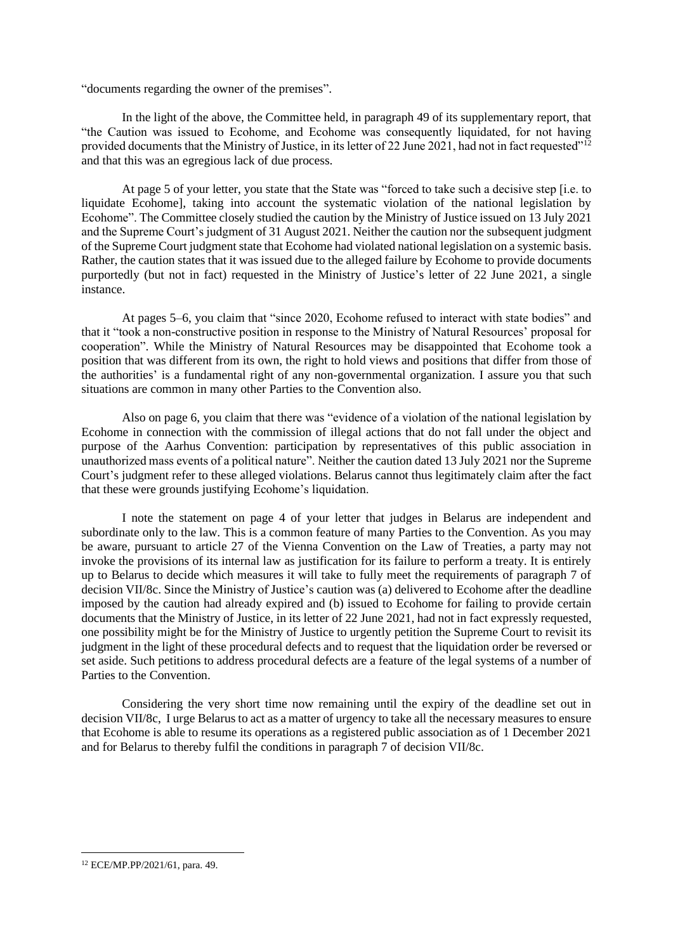"documents regarding the owner of the premises".

In the light of the above, the Committee held, in paragraph 49 of its supplementary report, that "the Caution was issued to Ecohome, and Ecohome was consequently liquidated, for not having provided documents that the Ministry of Justice, in its letter of 22 June 2021, had not in fact requested"<sup>12</sup> and that this was an egregious lack of due process.

At page 5 of your letter, you state that the State was "forced to take such a decisive step [i.e. to liquidate Ecohome], taking into account the systematic violation of the national legislation by Ecohome". The Committee closely studied the caution by the Ministry of Justice issued on 13 July 2021 and the Supreme Court's judgment of 31 August 2021. Neither the caution nor the subsequent judgment of the Supreme Court judgment state that Ecohome had violated national legislation on a systemic basis. Rather, the caution states that it was issued due to the alleged failure by Ecohome to provide documents purportedly (but not in fact) requested in the Ministry of Justice's letter of 22 June 2021, a single instance.

At pages 5–6, you claim that "since 2020, Ecohome refused to interact with state bodies" and that it "took a non-constructive position in response to the Ministry of Natural Resources' proposal for cooperation". While the Ministry of Natural Resources may be disappointed that Ecohome took a position that was different from its own, the right to hold views and positions that differ from those of the authorities' is a fundamental right of any non-governmental organization. I assure you that such situations are common in many other Parties to the Convention also.

Also on page 6, you claim that there was "evidence of a violation of the national legislation by Ecohome in connection with the commission of illegal actions that do not fall under the object and purpose of the Aarhus Convention: participation by representatives of this public association in unauthorized mass events of a political nature". Neither the caution dated 13 July 2021 nor the Supreme Court's judgment refer to these alleged violations. Belarus cannot thus legitimately claim after the fact that these were grounds justifying Ecohome's liquidation.

I note the statement on page 4 of your letter that judges in Belarus are independent and subordinate only to the law. This is a common feature of many Parties to the Convention. As you may be aware, pursuant to article 27 of the Vienna Convention on the Law of Treaties, a party may not invoke the provisions of its internal law as justification for its failure to perform a treaty. It is entirely up to Belarus to decide which measures it will take to fully meet the requirements of paragraph 7 of decision VII/8c. Since the Ministry of Justice's caution was (a) delivered to Ecohome after the deadline imposed by the caution had already expired and (b) issued to Ecohome for failing to provide certain documents that the Ministry of Justice, in its letter of 22 June 2021, had not in fact expressly requested, one possibility might be for the Ministry of Justice to urgently petition the Supreme Court to revisit its judgment in the light of these procedural defects and to request that the liquidation order be reversed or set aside. Such petitions to address procedural defects are a feature of the legal systems of a number of Parties to the Convention.

Considering the very short time now remaining until the expiry of the deadline set out in decision VII/8c, I urge Belarus to act as a matter of urgency to take all the necessary measures to ensure that Ecohome is able to resume its operations as a registered public association as of 1 December 2021 and for Belarus to thereby fulfil the conditions in paragraph 7 of decision VII/8c.

<sup>12</sup> ECE/MP.PP/2021/61, para. 49.